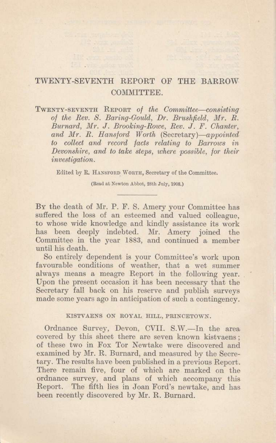## TWENTY-SEVENTH REPORT OF THE BARROW COMMITTEE.

IEI .viz doz urob

TWENTY-SEVENTH REPORT of the Committee-consisting of the Rev. S. Baring-Gould, Dr. Brushfield, Mr. R. Burnard, Mr. J. Brooking-Rowe, Rev. J. F. Chanter. and Mr. R. Hansford Worth (Secretary)-appointed to collect and record facts relating to Barrows in Devonshire, and to take steps, where possible, for their investigation.

Edited by R. HANSFORD WORTH, Secretary of the Committee.

(Read at Newton Abbot, 28th July, 1908.)

By the death of Mr. P. F. S. Amery your Committee has suffered the loss of an esteemed and valued colleague, to whose wide knowledge and kindly assistance its work has been deeply indebted. Mr. Amery joined the Committee in the year 1883, and continued a member until his death.

So entirely dependent is your Committee's work upon favourable conditions of weather, that a wet summer always means a meagre Report in the following year. Upon the present occasion it has been necessary that the Secretary fall back on his reserve and publish surveys made some years ago in anticipation of such a contingency.

## KISTVAENS ON ROYAL HILL, PRINCETOWN.

Ordnance Survey, Devon, CVII. S.W.-In the area covered by this sheet there are seven known kistvaens: of these two in Fox Tor Newtake were discovered and examined by Mr. R. Burnard, and measured by the Secretary. The results have been published in a previous Report. There remain five, four of which are marked on the ordnance survey, and plans of which accompany this Report. The fifth lies in Joan Ford's newtake, and has been recently discovered by Mr. R. Burnard.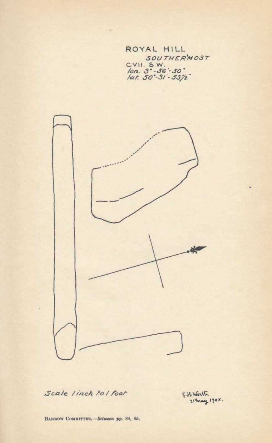ROYAL HILL  $SOUTHERMOST  
\nCVII. S.W.  
\n*lon.* 3<sup>*</sup> - 56<sup>*</sup> - 50<sup>*</sup>  
\n*lar.* 50<sup>*</sup> - 31 - 53/2$ 



Scale linch to I foot

R.H. Worth

BARROW COMMITTEE. - Between pp. 84, 85.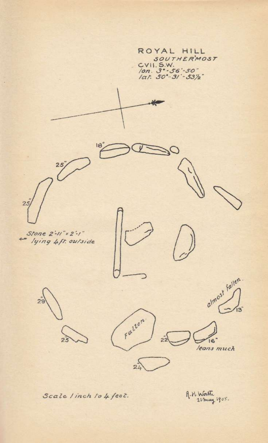

Scale / inch to 4 feet.

R.H. Worth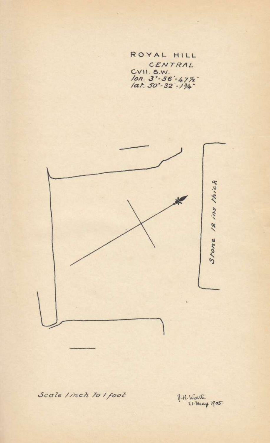



Scale linch to I foot

1.H. Worth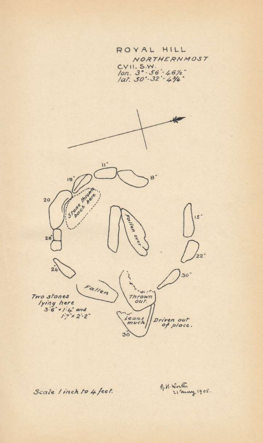

1.H. Worth 21 May 1905.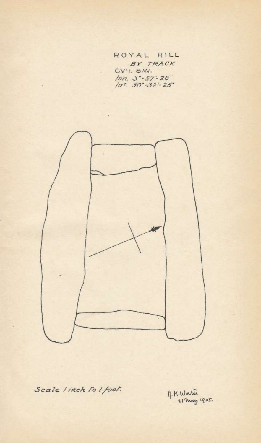ROYAL HILL BY TRACK CVII. S.W. lon. 3° - 57 - 28"<br>|at. 50° - 32' - 25"



Scale linch to I foot.

9. H. Warth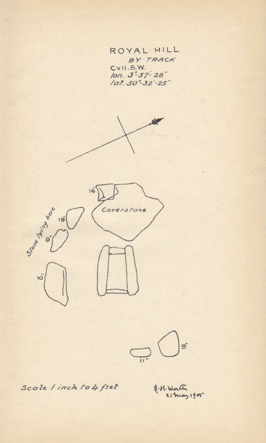





Scale / inch to 4 feet

 $\beta$ . H. Worth